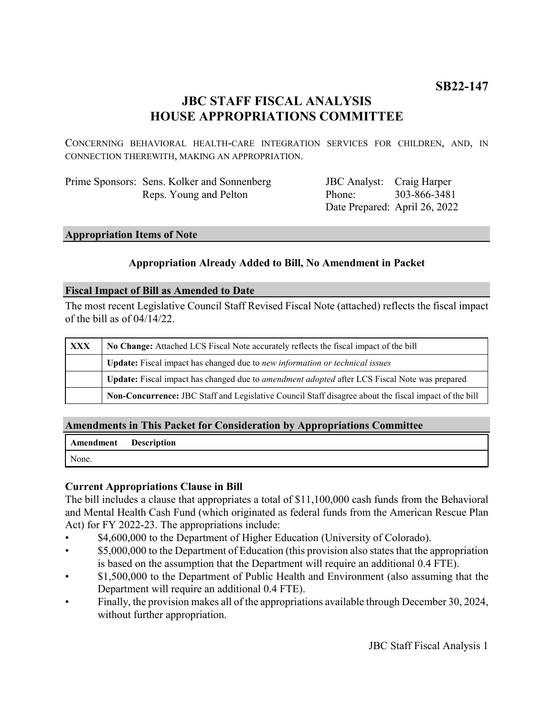# **JBC STAFF FISCAL ANALYSIS HOUSE APPROPRIATIONS COMMITTEE**

CONCERNING BEHAVIORAL HEALTH-CARE INTEGRATION SERVICES FOR CHILDREN, AND, IN CONNECTION THEREWITH, MAKING AN APPROPRIATION.

| Prime Sponsors: Sens. Kolker and Sonnenberg |
|---------------------------------------------|
| Reps. Young and Pelton                      |

JBC Analyst: Craig Harper Phone: Date Prepared: April 26, 2022 303-866-3481

# **Appropriation Items of Note**

# **Appropriation Already Added to Bill, No Amendment in Packet**

#### **Fiscal Impact of Bill as Amended to Date**

The most recent Legislative Council Staff Revised Fiscal Note (attached) reflects the fiscal impact of the bill as of 04/14/22.

| XXX | No Change: Attached LCS Fiscal Note accurately reflects the fiscal impact of the bill                 |  |
|-----|-------------------------------------------------------------------------------------------------------|--|
|     | Update: Fiscal impact has changed due to new information or technical issues                          |  |
|     | Update: Fiscal impact has changed due to <i>amendment adopted</i> after LCS Fiscal Note was prepared  |  |
|     | Non-Concurrence: JBC Staff and Legislative Council Staff disagree about the fiscal impact of the bill |  |

# **Amendments in This Packet for Consideration by Appropriations Committee**

| Amendment | <b>Description</b> |
|-----------|--------------------|
| None.     |                    |

# **Current Appropriations Clause in Bill**

The bill includes a clause that appropriates a total of \$11,100,000 cash funds from the Behavioral and Mental Health Cash Fund (which originated as federal funds from the American Rescue Plan Act) for FY 2022-23. The appropriations include:

- \$4,600,000 to the Department of Higher Education (University of Colorado).
- $$5,000,000$  to the Department of Education (this provision also states that the appropriation is based on the assumption that the Department will require an additional 0.4 FTE).
- \$1,500,000 to the Department of Public Health and Environment (also assuming that the Department will require an additional 0.4 FTE).
- Finally, the provision makes all of the appropriations available through December 30, 2024, without further appropriation.